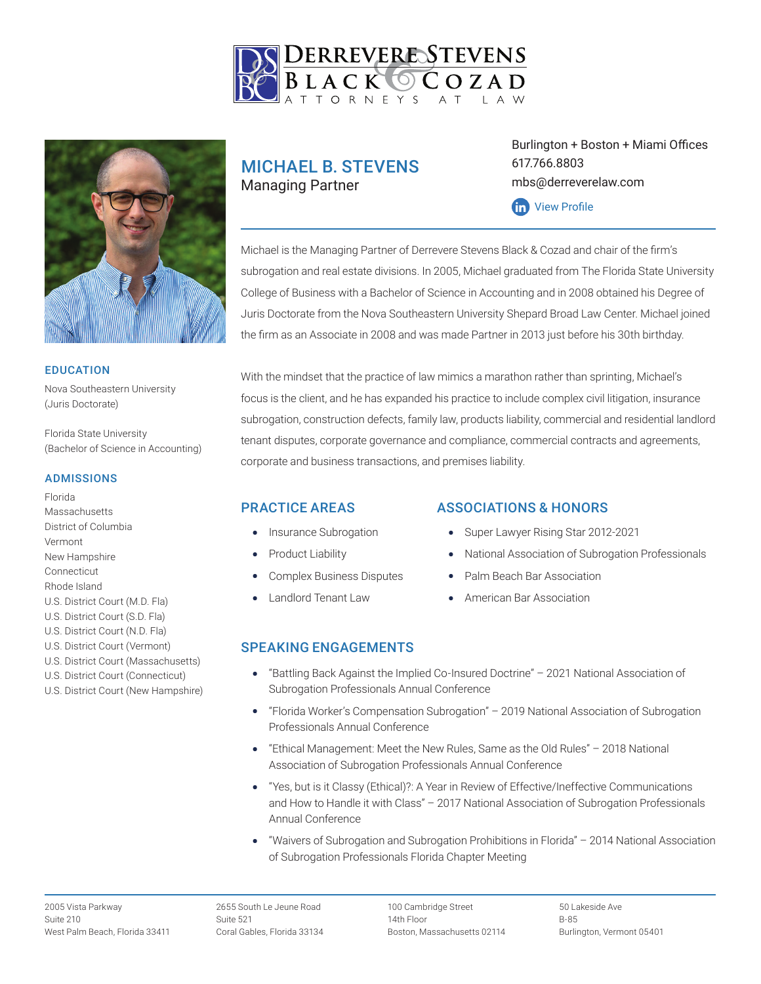



#### EDUCATION

Nova Southeastern University (Juris Doctorate)

Florida State University (Bachelor of Science in Accounting)

#### ADMISSIONS

Florida **Massachusetts** District of Columbia Vermont New Hampshire Connecticut Rhode Island U.S. District Court (M.D. Fla) U.S. District Court (S.D. Fla) U.S. District Court (N.D. Fla) U.S. District Court (Vermont) U.S. District Court (Massachusetts) U.S. District Court (Connecticut)

U.S. District Court (New Hampshire)

# MICHAEL B. STEVENS Managing Partner

Burlington + Boston + Miami Offices 617.766.8803 mbs@derreverelaw.com



Michael is the Managing Partner of Derrevere Stevens Black & Cozad and chair of the firm's subrogation and real estate divisions. In 2005, Michael graduated from The Florida State University College of Business with a Bachelor of Science in Accounting and in 2008 obtained his Degree of Juris Doctorate from the Nova Southeastern University Shepard Broad Law Center. Michael joined the firm as an Associate in 2008 and was made Partner in 2013 just before his 30th birthday.

With the mindset that the practice of law mimics a marathon rather than sprinting, Michael's focus is the client, and he has expanded his practice to include complex civil litigation, insurance subrogation, construction defects, family law, products liability, commercial and residential landlord tenant disputes, corporate governance and compliance, commercial contracts and agreements, corporate and business transactions, and premises liability.

## PRACTICE AREAS

- Insurance Subrogation
- Product Liability
- Complex Business Disputes
- Landlord Tenant Law

## ASSOCIATIONS & HONORS

- Super Lawyer Rising Star 2012-2021
- National Association of Subrogation Professionals
- Palm Beach Bar Association
- American Bar Association

## SPEAKING ENGAGEMENTS

- "Battling Back Against the Implied Co-Insured Doctrine" 2021 National Association of Subrogation Professionals Annual Conference
- "Florida Worker's Compensation Subrogation" 2019 National Association of Subrogation Professionals Annual Conference
- "Ethical Management: Meet the New Rules, Same as the Old Rules" 2018 National Association of Subrogation Professionals Annual Conference
- "Yes, but is it Classy (Ethical)?: A Year in Review of Effective/Ineffective Communications and How to Handle it with Class" – 2017 National Association of Subrogation Professionals Annual Conference
- "Waivers of Subrogation and Subrogation Prohibitions in Florida" 2014 National Association of Subrogation Professionals Florida Chapter Meeting

2655 South Le Jeune Road Suite 521 Coral Gables, Florida 33134 100 Cambridge Street 14th Floor Boston, Massachusetts 02114

50 Lakeside Ave B-85 Burlington, Vermont 05401